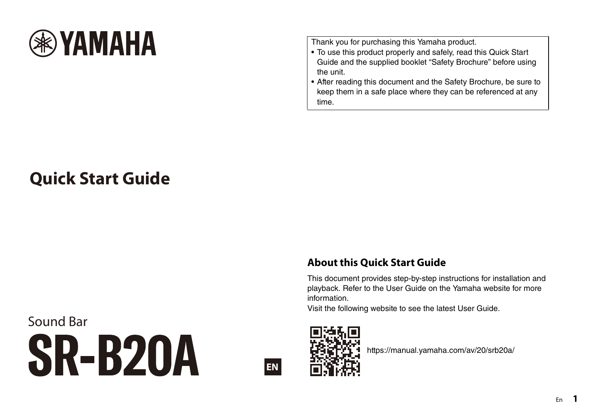

Thank you for purchasing this Yamaha product.

- To use this product properly and safely, read this Quick Start Guide and the supplied booklet "Safety Brochure" before using the unit.
- After reading this document and the Safety Brochure, be sure to keep them in a safe place where they can be referenced at any time.

# **Quick Start Guide**

## **About this Quick Start Guide**

This document provides step-by-step instructions for installation and playback. Refer to the User Guide on the Yamaha website for more information.

Visit the following website to see the latest User Guide.

Sound Bar **SR-B20A** 





https://manual.yamaha.com/av/20/srb20a/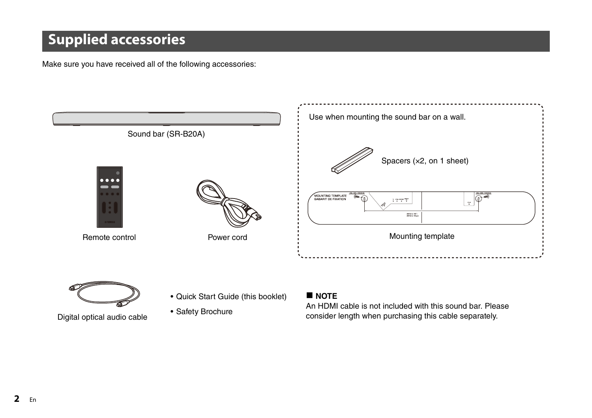# **Supplied accessories**

Make sure you have received all of the following accessories:



- 
- Quick Start Guide (this booklet)
- Safety Brochure

### **NOTE**

An HDMI cable is not included with this sound bar. Please Digital optical audio cable  $\overline{\phantom{a}}$  consider length when purchasing this cable separately.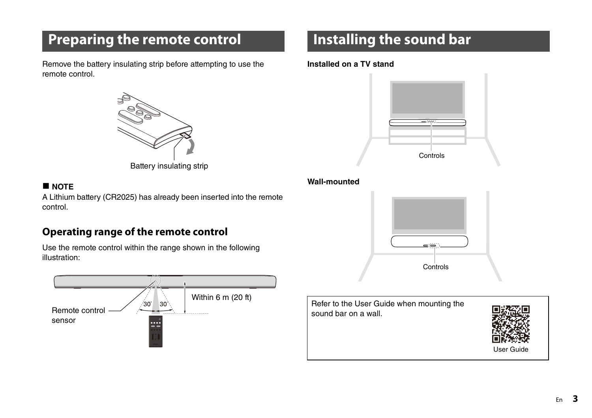# **Preparing the remote control**

Remove the battery insulating strip before attempting to use the remote control.



Battery insulating strip

### **NOTE**

A Lithium battery (CR2025) has already been inserted into the remote control.

## **Operating range of the remote control**

Use the remote control within the range shown in the following illustration:



# **Installing the sound bar**

#### **Installed on a TV stand**



#### **Wall-mounted**



Refer to the User Guide when mounting the sound bar on a wall.

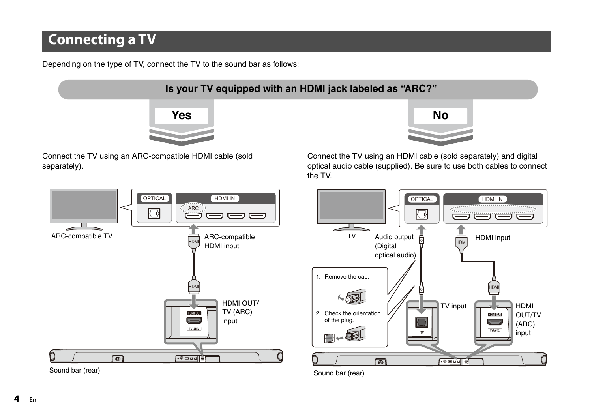# **Connecting a TV**

Depending on the type of TV, connect the TV to the sound bar as follows:



separately).

Connect the TV using an HDMI cable (sold separately) and digital optical audio cable (supplied). Be sure to use both cables to connect the TV.



Sound bar (rear)



Sound bar (rear)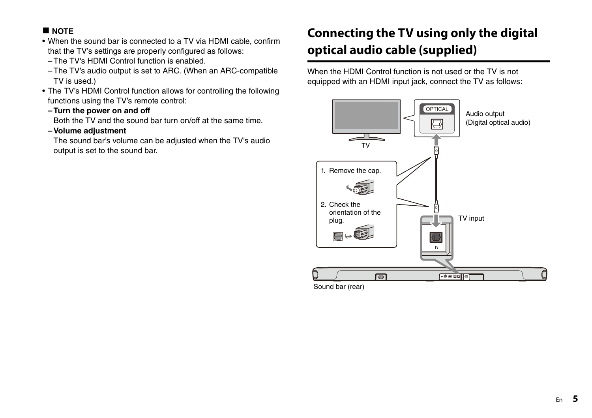### **NOTE**

- When the sound bar is connected to a TV via HDMI cable, confirm that the TV's settings are properly configured as follows:
	- The TV's HDMI Control function is enabled.
	- The TV's audio output is set to ARC. (When an ARC-compatible TV is used.)
- The TV's HDMI Control function allows for controlling the following functions using the TV's remote control:
	- **Turn the power on and off**

Both the TV and the sound bar turn on/off at the same time.

**– Volume adjustment**

The sound bar's volume can be adjusted when the TV's audio output is set to the sound bar.

## **Connecting the TV using only the digital optical audio cable (supplied)**

When the HDMI Control function is not used or the TV is not equipped with an HDMI input jack, connect the TV as follows:

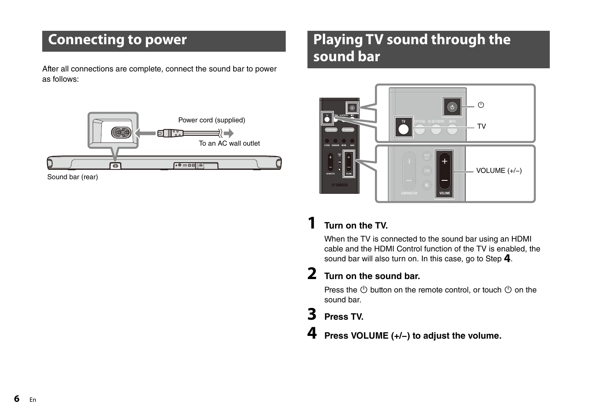# **Connecting to power**

After all connections are complete, connect the sound bar to power as follows:



Sound bar (rear)

# **Playing TV sound through the sound bar**



## **1 Turn on the TV.**

When the TV is connected to the sound bar using an HDMI cable and the HDMI Control function of the TV is enabled, the sound bar will also turn on. In this case, go to Step **4**.

## **2 Turn on the sound bar.**

Press the  $\circlearrowleft$  button on the remote control, or touch  $\circlearrowleft$  on the sound bar.

## **3 Press TV.**

**4 Press VOLUME (+/−) to adjust the volume.**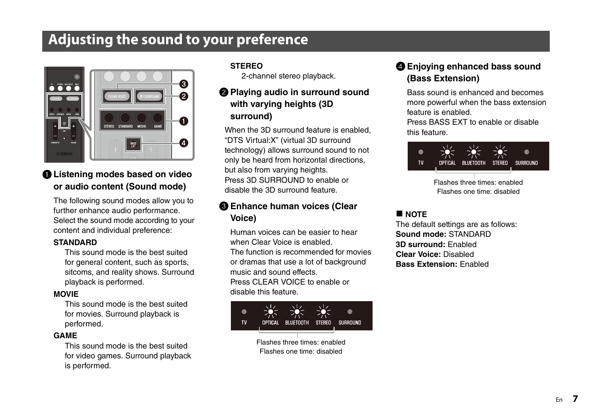# **Adjusting the sound to your preference**



### a **Listening modes based on video or audio content (Sound mode)**

The following sound modes allow you to further enhance audio performance. Select the sound mode according to your content and individual preference:

### **STANDARD**

This sound mode is the best suited for general content, such as sports, sitcoms, and reality shows. Surround playback is performed.

#### **MOVIE**

This sound mode is the best suited for movies. Surround playback is performed.

#### **GAME**

This sound mode is the best suited for video games. Surround playback is performed.

#### **STEREO**

2-channel stereo playback.

### b **Playing audio in surround sound with varying heights (3D surround)**

When the 3D surround feature is enabled, "DTS Virtual:X" (virtual 3D surround technology) allows surround sound to not only be heard from horizontal directions, but also from varying heights. Press 3D SURROUND to enable or disable the 3D surround feature.

### **Enhance human voices (Clear Voice)**

Human voices can be easier to hear when Clear Voice is enabled. The function is recommended for movies or dramas that use a lot of background music and sound effects. Press CLEAR VOICE to enable or

disable this feature.



Flashes one time: disabled

### d **Enjoying enhanced bass sound (Bass Extension)**

Bass sound is enhanced and becomes more powerful when the bass extension feature is enabled.

Press BASS EXT to enable or disable this feature.



Flashes three times: enabled Flashes one time: disabled

### **NOTE**

The default settings are as follows: **Sound mode:** STANDARD **3D surround:** Enabled **Clear Voice:** Disabled **Bass Extension:** Enabled